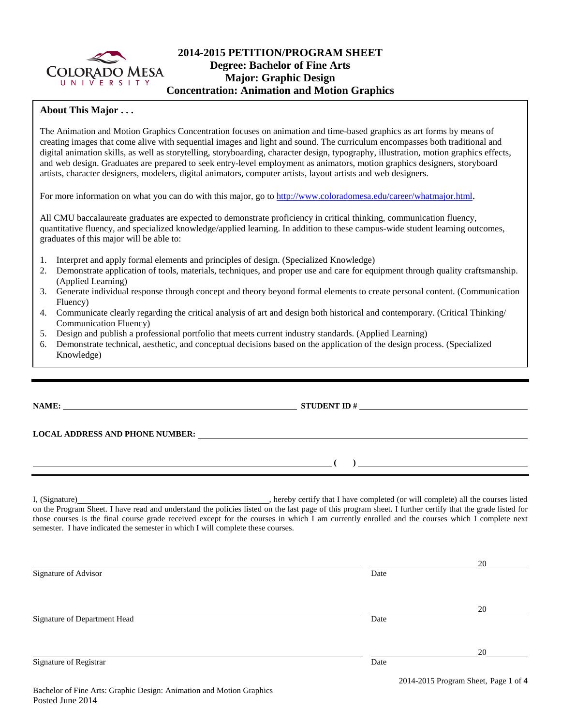

# **2014-2015 PETITION/PROGRAM SHEET Degree: Bachelor of Fine Arts Major: Graphic Design Concentration: Animation and Motion Graphics**

## **About This Major . . .**

The Animation and Motion Graphics Concentration focuses on animation and time-based graphics as art forms by means of creating images that come alive with sequential images and light and sound. The curriculum encompasses both traditional and digital animation skills, as well as storytelling, storyboarding, character design, typography, illustration, motion graphics effects, and web design. Graduates are prepared to seek entry-level employment as animators, motion graphics designers, storyboard artists, character designers, modelers, digital animators, computer artists, layout artists and web designers.

For more information on what you can do with this major, go to [http://www.coloradomesa.edu/career/whatmajor.html.](http://www.coloradomesa.edu/career/whatmajor.html)

All CMU baccalaureate graduates are expected to demonstrate proficiency in critical thinking, communication fluency, quantitative fluency, and specialized knowledge/applied learning. In addition to these campus-wide student learning outcomes, graduates of this major will be able to:

- 1. Interpret and apply formal elements and principles of design. (Specialized Knowledge)
- 2. Demonstrate application of tools, materials, techniques, and proper use and care for equipment through quality craftsmanship. (Applied Learning)
- 3. Generate individual response through concept and theory beyond formal elements to create personal content. (Communication Fluency)
- 4. Communicate clearly regarding the critical analysis of art and design both historical and contemporary. (Critical Thinking/ Communication Fluency)
- 5. Design and publish a professional portfolio that meets current industry standards. (Applied Learning)
- 6. Demonstrate technical, aesthetic, and conceptual decisions based on the application of the design process. (Specialized Knowledge)

# **NAME: STUDENT ID #**

 $($   $)$   $)$ 

**LOCAL ADDRESS AND PHONE NUMBER:**

I, (Signature) , hereby certify that I have completed (or will complete) all the courses listed on the Program Sheet. I have read and understand the policies listed on the last page of this program sheet. I further certify that the grade listed for those courses is the final course grade received except for the courses in which I am currently enrolled and the courses which I complete next semester. I have indicated the semester in which I will complete these courses.

|                              |      | 20                                   |
|------------------------------|------|--------------------------------------|
| Signature of Advisor         | Date |                                      |
|                              |      |                                      |
| Signature of Department Head | Date | 20                                   |
|                              |      | 20                                   |
| Signature of Registrar       | Date | 2014-2015 Program Sheet, Page 1 of 4 |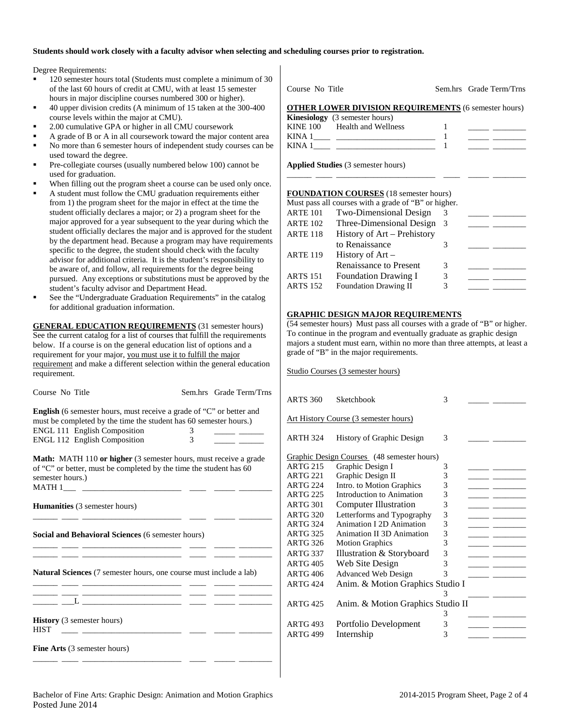#### **Students should work closely with a faculty advisor when selecting and scheduling courses prior to registration.**

Degree Requirements:

- 120 semester hours total (Students must complete a minimum of 30 of the last 60 hours of credit at CMU, with at least 15 semester hours in major discipline courses numbered 300 or higher).
- 40 upper division credits (A minimum of 15 taken at the 300-400 course levels within the major at CMU).
- 2.00 cumulative GPA or higher in all CMU coursework
- A grade of B or A in all coursework toward the major content area
- No more than 6 semester hours of independent study courses can be used toward the degree.
- Pre-collegiate courses (usually numbered below 100) cannot be used for graduation.
- When filling out the program sheet a course can be used only once.
- A student must follow the CMU graduation requirements either from 1) the program sheet for the major in effect at the time the student officially declares a major; or 2) a program sheet for the major approved for a year subsequent to the year during which the student officially declares the major and is approved for the student by the department head. Because a program may have requirements specific to the degree, the student should check with the faculty advisor for additional criteria. It is the student's responsibility to be aware of, and follow, all requirements for the degree being pursued. Any exceptions or substitutions must be approved by the student's faculty advisor and Department Head.
- See the "Undergraduate Graduation Requirements" in the catalog for additional graduation information.

**GENERAL EDUCATION REQUIREMENTS** (31 semester hours) See the current catalog for a list of courses that fulfill the requirements below. If a course is on the general education list of options and a requirement for your major, you must use it to fulfill the major requirement and make a different selection within the general education requirement.

Course No Title Sem.hrs Grade Term/Trns **English** (6 semester hours, must receive a grade of "C" or better and must be completed by the time the student has 60 semester hours.) ENGL 111 English Composition 3<br>ENGL 112 English Composition 3

| <b>ENGL 112 English Composition</b>                                                                                                           | 3 |
|-----------------------------------------------------------------------------------------------------------------------------------------------|---|
| <b>Math:</b> MATH 110 or higher (3 semester hours, must receive a grade<br>of "C" or better, must be completed by the time the student has 60 |   |

\_\_\_\_\_\_ \_\_\_\_ \_\_\_\_\_\_\_\_\_\_\_\_\_\_\_\_\_\_\_\_\_\_\_\_ \_\_\_\_ \_\_\_\_\_ \_\_\_\_\_\_\_\_

\_\_\_\_\_\_ \_\_\_\_ \_\_\_\_\_\_\_\_\_\_\_\_\_\_\_\_\_\_\_\_\_\_\_\_ \_\_\_\_ \_\_\_\_\_ \_\_\_\_\_\_\_\_ \_\_\_\_\_\_ \_\_\_\_ \_\_\_\_\_\_\_\_\_\_\_\_\_\_\_\_\_\_\_\_\_\_\_\_ \_\_\_\_ \_\_\_\_\_ \_\_\_\_\_\_\_\_

| of "C" or better, must be completed by the time the student has 60 |
|--------------------------------------------------------------------|
| semester hours.)                                                   |
| <b>MATH1</b>                                                       |

**Humanities** (3 semester hours)

**Social and Behavioral Sciences** (6 semester hours)

**Natural Sciences** (7 semester hours, one course must include a lab)

| <b>History</b> (3 semester hours)<br><b>HIST</b> |  |  |
|--------------------------------------------------|--|--|
| <b>Fine Arts</b> (3 semester hours)              |  |  |
|                                                  |  |  |

Course No. Title Sem. hrs Grade Term/Trns

#### **OTHER LOWER DIVISION REQUIREMENTS** (6 semester hours)

|          | <b>Kinesiology</b> (3 semester hours) |  |
|----------|---------------------------------------|--|
| KINE 100 | Health and Wellness                   |  |
| KINA 1   |                                       |  |
| KINA 1   |                                       |  |

\_\_\_\_\_\_ \_\_\_\_ \_\_\_\_\_\_\_\_\_\_\_\_\_\_\_\_\_\_\_\_\_\_\_\_ \_\_\_\_ \_\_\_\_\_ \_\_\_\_\_\_\_\_

**Applied Studies** (3 semester hours)

#### **FOUNDATION COURSES** (18 semester hours)

|                 | Must pass all courses with a grade of "B" or higher. |    |  |
|-----------------|------------------------------------------------------|----|--|
| <b>ARTE 101</b> | Two-Dimensional Design                               | 3  |  |
| <b>ARTE 102</b> | Three-Dimensional Design                             | -3 |  |
| <b>ARTE 118</b> | History of Art - Prehistory                          |    |  |
|                 | to Renaissance                                       | 3  |  |
| <b>ARTE 119</b> | History of $Art -$                                   |    |  |
|                 | Renaissance to Present                               | 3  |  |
| <b>ARTS</b> 151 | <b>Foundation Drawing I</b>                          | 3  |  |
| <b>ARTS 152</b> | <b>Foundation Drawing II</b>                         | 3  |  |

#### **GRAPHIC DESIGN MAJOR REQUIREMENTS**

(54 semester hours) Must pass all courses with a grade of "B" or higher. To continue in the program and eventually graduate as graphic design majors a student must earn, within no more than three attempts, at least a grade of "B" in the major requirements.

Studio Courses (3 semester hours)

| <b>ARTS 360</b> | Sketchbook                                   | 3 |  |
|-----------------|----------------------------------------------|---|--|
|                 | <b>Art History Course (3 semester hours)</b> |   |  |
| <b>ARTH 324</b> | History of Graphic Design                    | 3 |  |
|                 | Graphic Design Courses (48 semester hours)   |   |  |
| <b>ARTG 215</b> | Graphic Design I                             | 3 |  |
| <b>ARTG 221</b> | Graphic Design II                            | 3 |  |
| <b>ARTG 224</b> | Intro. to Motion Graphics                    | 3 |  |
| <b>ARTG 225</b> | Introduction to Animation                    | 3 |  |
| <b>ARTG 301</b> | <b>Computer Illustration</b>                 | 3 |  |
| <b>ARTG 320</b> | Letterforms and Typography                   | 3 |  |
| <b>ARTG 324</b> | Animation I 2D Animation                     | 3 |  |
| <b>ARTG 325</b> | Animation II 3D Animation                    | 3 |  |
| <b>ARTG 326</b> | <b>Motion Graphics</b>                       | 3 |  |
| <b>ARTG 337</b> | Illustration & Storyboard                    | 3 |  |
| <b>ARTG 405</b> | Web Site Design                              | 3 |  |
| <b>ARTG 406</b> | <b>Advanced Web Design</b>                   | 3 |  |
| <b>ARTG 424</b> | Anim. & Motion Graphics Studio I             |   |  |
|                 |                                              | 3 |  |
| <b>ARTG 425</b> | Anim. & Motion Graphics Studio II            |   |  |
|                 |                                              | 3 |  |
| <b>ARTG 493</b> | Portfolio Development                        | 3 |  |
| <b>ARTG 499</b> | Internship                                   | 3 |  |
|                 |                                              |   |  |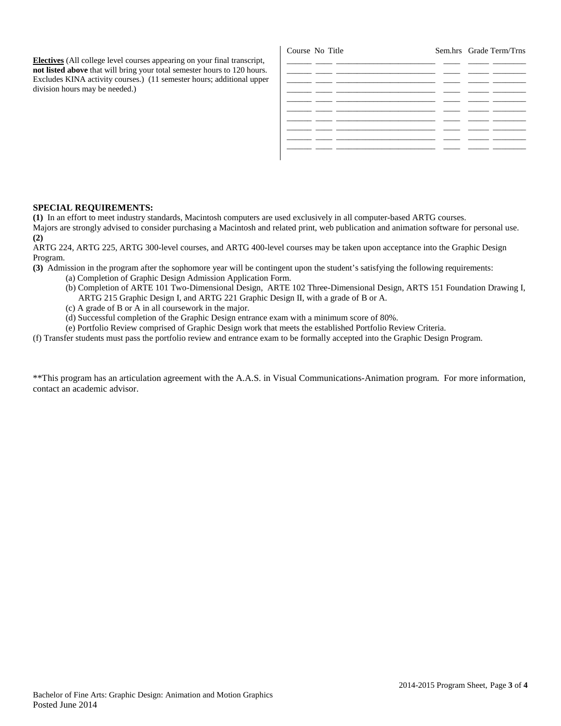**Electives** (All college level courses appearing on your final transcript, **not listed above** that will bring your total semester hours to 120 hours. Excludes KINA activity courses.) (11 semester hours; additional upper division hours may be needed.)

| Course No Title |  | Sem.hrs Grade Term/Trns |
|-----------------|--|-------------------------|
|                 |  |                         |
|                 |  |                         |
|                 |  |                         |
|                 |  |                         |
|                 |  |                         |
|                 |  |                         |
|                 |  |                         |
|                 |  |                         |
|                 |  |                         |

### **SPECIAL REQUIREMENTS:**

**(1)** In an effort to meet industry standards, Macintosh computers are used exclusively in all computer-based ARTG courses. Majors are strongly advised to consider purchasing a Macintosh and related print, web publication and animation software for personal use. **(2)**

ARTG 224, ARTG 225, ARTG 300-level courses, and ARTG 400-level courses may be taken upon acceptance into the Graphic Design Program.

**(3)** Admission in the program after the sophomore year will be contingent upon the student's satisfying the following requirements:

- (a) Completion of Graphic Design Admission Application Form.
	- (b) Completion of ARTE 101 Two-Dimensional Design, ARTE 102 Three-Dimensional Design, ARTS 151 Foundation Drawing I, ARTG 215 Graphic Design I, and ARTG 221 Graphic Design II, with a grade of B or A.
	- (c) A grade of B or A in all coursework in the major.
	- (d) Successful completion of the Graphic Design entrance exam with a minimum score of 80%.
- (e) Portfolio Review comprised of Graphic Design work that meets the established Portfolio Review Criteria.

(f) Transfer students must pass the portfolio review and entrance exam to be formally accepted into the Graphic Design Program.

\*\*This program has an articulation agreement with the A.A.S. in Visual Communications-Animation program. For more information, contact an academic advisor.